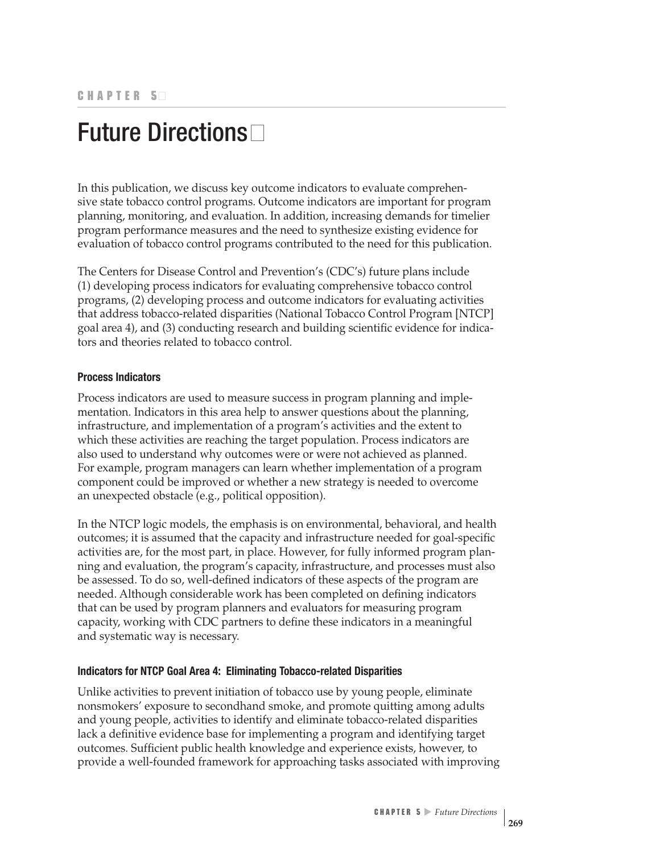## Future Directions

In this publication, we discuss key outcome indicators to evaluate comprehensive state tobacco control programs. Outcome indicators are important for program planning, monitoring, and evaluation. In addition, increasing demands for timelier program performance measures and the need to synthesize existing evidence for evaluation of tobacco control programs contributed to the need for this publication.

The Centers for Disease Control and Prevention's (CDC's) future plans include (1) developing process indicators for evaluating comprehensive tobacco control programs, (2) developing process and outcome indicators for evaluating activities that address tobacco-related disparities (National Tobacco Control Program [NTCP] goal area 4), and (3) conducting research and building scientific evidence for indicators and theories related to tobacco control.

## **Process Indicators**

Process indicators are used to measure success in program planning and implementation. Indicators in this area help to answer questions about the planning, infrastructure, and implementation of a program's activities and the extent to which these activities are reaching the target population. Process indicators are also used to understand why outcomes were or were not achieved as planned. For example, program managers can learn whether implementation of a program component could be improved or whether a new strategy is needed to overcome an unexpected obstacle (e.g., political opposition).

In the NTCP logic models, the emphasis is on environmental, behavioral, and health outcomes; it is assumed that the capacity and infrastructure needed for goal-specific activities are, for the most part, in place. However, for fully informed program planning and evaluation, the program's capacity, infrastructure, and processes must also be assessed. To do so, well-defined indicators of these aspects of the program are needed. Although considerable work has been completed on defining indicators that can be used by program planners and evaluators for measuring program capacity, working with CDC partners to define these indicators in a meaningful and systematic way is necessary.

## **Indicators for NTCP Goal Area 4: Eliminating Tobacco-related Disparities**

Unlike activities to prevent initiation of tobacco use by young people, eliminate nonsmokers' exposure to secondhand smoke, and promote quitting among adults and young people, activities to identify and eliminate tobacco-related disparities lack a definitive evidence base for implementing a program and identifying target outcomes. Sufficient public health knowledge and experience exists, however, to provide a well-founded framework for approaching tasks associated with improving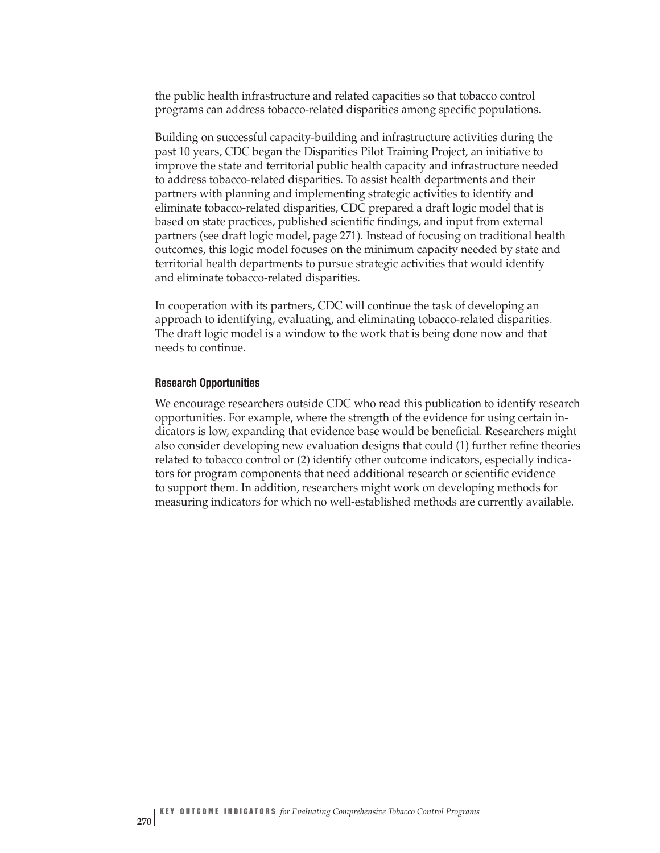the public health infrastructure and related capacities so that tobacco control programs can address tobacco-related disparities among specific populations.

Building on successful capacity-building and infrastructure activities during the past 10 years, CDC began the Disparities Pilot Training Project, an initiative to improve the state and territorial public health capacity and infrastructure needed to address tobacco-related disparities. To assist health departments and their partners with planning and implementing strategic activities to identify and eliminate tobacco-related disparities, CDC prepared a draft logic model that is based on state practices, published scientific findings, and input from external partners (see draft logic model, page 271). Instead of focusing on traditional health outcomes, this logic model focuses on the minimum capacity needed by state and territorial health departments to pursue strategic activities that would identify and eliminate tobacco-related disparities.

In cooperation with its partners, CDC will continue the task of developing an approach to identifying, evaluating, and eliminating tobacco-related disparities. The draft logic model is a window to the work that is being done now and that needs to continue.

## **Research Opportunities**

We encourage researchers outside CDC who read this publication to identify research opportunities. For example, where the strength of the evidence for using certain indicators is low, expanding that evidence base would be beneficial. Researchers might also consider developing new evaluation designs that could (1) further refine theories related to tobacco control or (2) identify other outcome indicators, especially indicators for program components that need additional research or scientific evidence to support them. In addition, researchers might work on developing methods for measuring indicators for which no well-established methods are currently available.